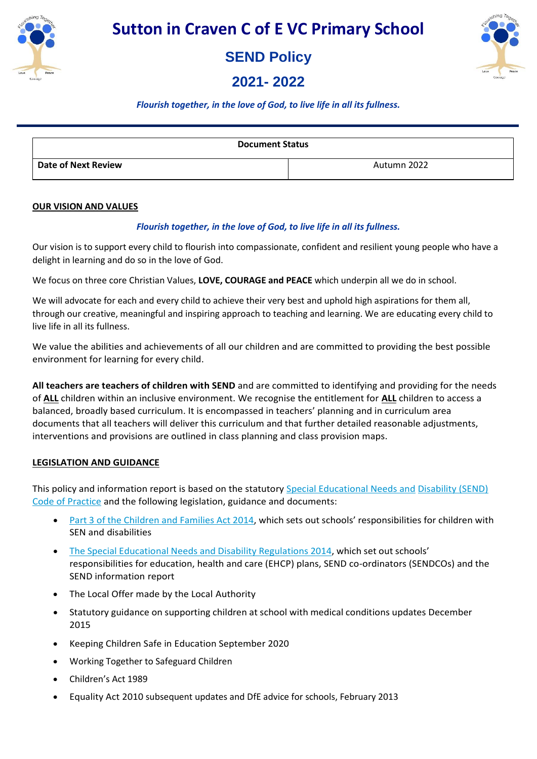

**SEND Policy** 

**2021- 2022** 



## *Flourish together, in the love of God, to live life in all its fullness.*

| <b>Document Status</b>     |             |
|----------------------------|-------------|
| <b>Date of Next Review</b> | Autumn 2022 |

#### **OUR VISION AND VALUES**

### *Flourish together, in the love of God, to live life in all its fullness.*

Our vision is to support every child to flourish into compassionate, confident and resilient young people who have a delight in learning and do so in the love of God.

We focus on three core Christian Values, **LOVE, COURAGE and PEACE** which underpin all we do in school.

We will advocate for each and every child to achieve their very best and uphold high aspirations for them all, through our creative, meaningful and inspiring approach to teaching and learning. We are educating every child to live life in all its fullness.

We value the abilities and achievements of all our children and are committed to providing the best possible environment for learning for every child.

**All teachers are teachers of children with SEND** and are committed to identifying and providing for the needs of **ALL** children within an inclusive environment. We recognise the entitlement for **ALL** children to access a balanced, broadly based curriculum. It is encompassed in teachers' planning and in curriculum area documents that all teachers will deliver this curriculum and that further detailed reasonable adjustments, interventions and provisions are outlined in class planning and class provision maps.

### **LEGISLATION AND GUIDANCE**

This policy and information report is based on the statutory Special Educational Needs and Disability (SEND) Code of Practice and the following legislation, guidance and documents:

- Part 3 of the Children and Families Act 2014, which sets out schools' responsibilities for children with SEN and disabilities
- The Special Educational Needs and Disability Regulations 2014, which set out schools' responsibilities for education, health and care (EHCP) plans, SEND co-ordinators (SENDCOs) and the SEND information report
- The Local Offer made by the Local Authority
- Statutory guidance on supporting children at school with medical conditions updates December 2015
- Keeping Children Safe in Education September 2020
- Working Together to Safeguard Children
- Children's Act 1989
- Equality Act 2010 subsequent updates and DfE advice for schools, February 2013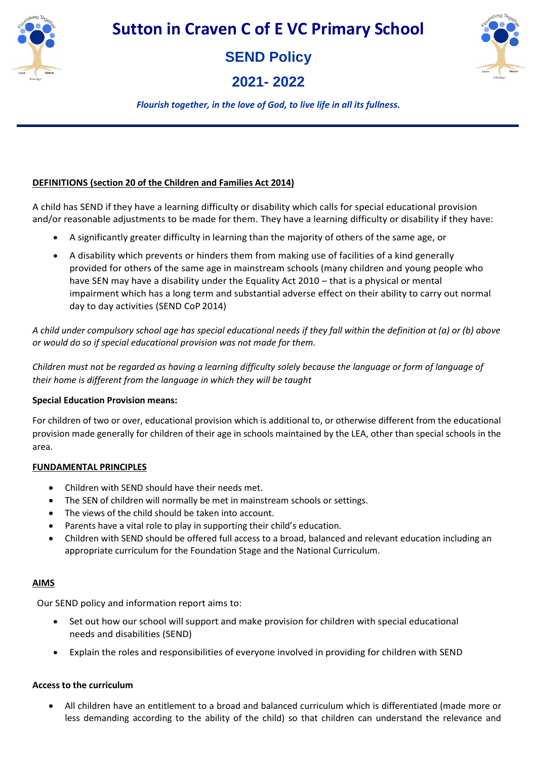



**2021- 2022** 



*Flourish together, in the love of God, to live life in all its fullness.*

## **DEFINITIONS (section 20 of the Children and Families Act 2014)**

A child has SEND if they have a learning difficulty or disability which calls for special educational provision and/or reasonable adjustments to be made for them. They have a learning difficulty or disability if they have:

- A significantly greater difficulty in learning than the majority of others of the same age, or
- A disability which prevents or hinders them from making use of facilities of a kind generally provided for others of the same age in mainstream schools (many children and young people who have SEN may have a disability under the Equality Act 2010 – that is a physical or mental impairment which has a long term and substantial adverse effect on their ability to carry out normal day to day activities (SEND CoP 2014)

*A child under compulsory school age has special educational needs if they fall within the definition at (a) or (b) above or would do so if special educational provision was not made for them.* 

*Children must not be regarded as having a learning difficulty solely because the language or form of language of their home is different from the language in which they will be taught*

## **Special Education Provision means:**

For children of two or over, educational provision which is additional to, or otherwise different from the educational provision made generally for children of their age in schools maintained by the LEA, other than special schools in the area.

## **FUNDAMENTAL PRINCIPLES**

- Children with SEND should have their needs met.
- The SEN of children will normally be met in mainstream schools or settings.
- The views of the child should be taken into account.
- Parents have a vital role to play in supporting their child's education.
- Children with SEND should be offered full access to a broad, balanced and relevant education including an appropriate curriculum for the Foundation Stage and the National Curriculum.

### **AIMS**

Our SEND policy and information report aims to:

- Set out how our school will support and make provision for children with special educational needs and disabilities (SEND)
- Explain the roles and responsibilities of everyone involved in providing for children with SEND

## **Access to the curriculum**

 All children have an entitlement to a broad and balanced curriculum which is differentiated (made more or less demanding according to the ability of the child) so that children can understand the relevance and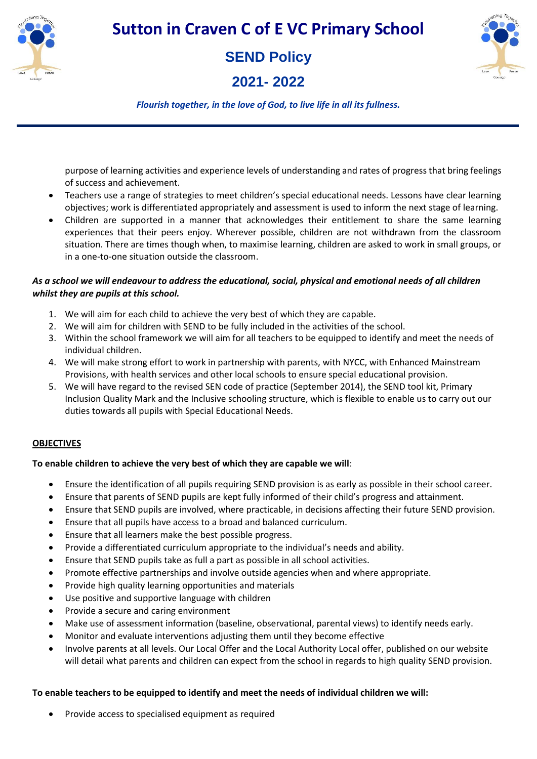

# **SEND Policy**

**2021- 2022** 



*Flourish together, in the love of God, to live life in all its fullness.*

purpose of learning activities and experience levels of understanding and rates of progress that bring feelings of success and achievement.

- Teachers use a range of strategies to meet children's special educational needs. Lessons have clear learning objectives; work is differentiated appropriately and assessment is used to inform the next stage of learning.
- Children are supported in a manner that acknowledges their entitlement to share the same learning experiences that their peers enjoy. Wherever possible, children are not withdrawn from the classroom situation. There are times though when, to maximise learning, children are asked to work in small groups, or in a one-to-one situation outside the classroom.

## *As a school we will endeavour to address the educational, social, physical and emotional needs of all children whilst they are pupils at this school.*

- 1. We will aim for each child to achieve the very best of which they are capable.
- 2. We will aim for children with SEND to be fully included in the activities of the school.
- 3. Within the school framework we will aim for all teachers to be equipped to identify and meet the needs of individual children.
- 4. We will make strong effort to work in partnership with parents, with NYCC, with Enhanced Mainstream Provisions, with health services and other local schools to ensure special educational provision.
- 5. We will have regard to the revised SEN code of practice (September 2014), the SEND tool kit, Primary Inclusion Quality Mark and the Inclusive schooling structure, which is flexible to enable us to carry out our duties towards all pupils with Special Educational Needs.

## **OBJECTIVES**

## **To enable children to achieve the very best of which they are capable we will**:

- Ensure the identification of all pupils requiring SEND provision is as early as possible in their school career.
- Ensure that parents of SEND pupils are kept fully informed of their child's progress and attainment.
- Ensure that SEND pupils are involved, where practicable, in decisions affecting their future SEND provision.
- Ensure that all pupils have access to a broad and balanced curriculum.
- Ensure that all learners make the best possible progress.
- Provide a differentiated curriculum appropriate to the individual's needs and ability.
- Ensure that SEND pupils take as full a part as possible in all school activities.
- Promote effective partnerships and involve outside agencies when and where appropriate.
- Provide high quality learning opportunities and materials
- Use positive and supportive language with children
- Provide a secure and caring environment
- Make use of assessment information (baseline, observational, parental views) to identify needs early.
- Monitor and evaluate interventions adjusting them until they become effective
- Involve parents at all levels. Our Local Offer and the Local Authority Local offer, published on our website will detail what parents and children can expect from the school in regards to high quality SEND provision.

### **To enable teachers to be equipped to identify and meet the needs of individual children we will:**

Provide access to specialised equipment as required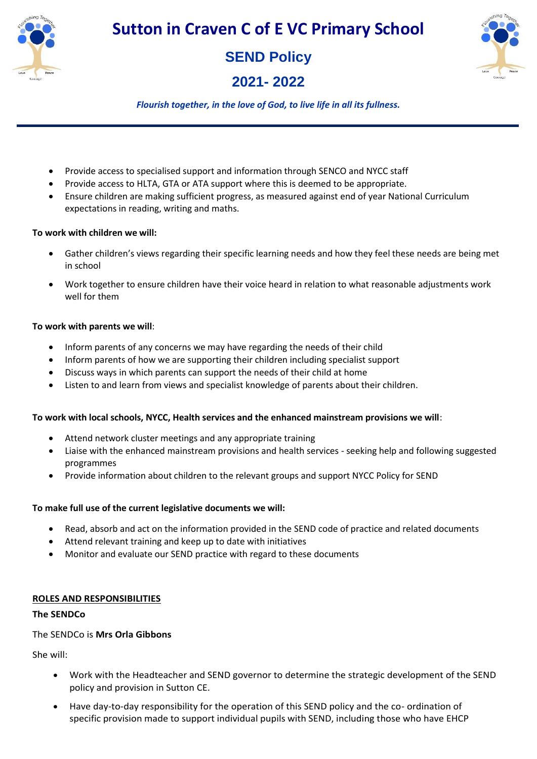

**SEND Policy** 

**2021- 2022** 



*Flourish together, in the love of God, to live life in all its fullness.*

- Provide access to specialised support and information through SENCO and NYCC staff
- Provide access to HLTA, GTA or ATA support where this is deemed to be appropriate.
- Ensure children are making sufficient progress, as measured against end of year National Curriculum expectations in reading, writing and maths.

## **To work with children we will:**

- Gather children's views regarding their specific learning needs and how they feel these needs are being met in school
- Work together to ensure children have their voice heard in relation to what reasonable adjustments work well for them

### **To work with parents we will**:

- Inform parents of any concerns we may have regarding the needs of their child
- Inform parents of how we are supporting their children including specialist support
- Discuss ways in which parents can support the needs of their child at home
- Listen to and learn from views and specialist knowledge of parents about their children.

## **To work with local schools, NYCC, Health services and the enhanced mainstream provisions we will**:

- Attend network cluster meetings and any appropriate training
- Liaise with the enhanced mainstream provisions and health services seeking help and following suggested programmes
- Provide information about children to the relevant groups and support NYCC Policy for SEND

## **To make full use of the current legislative documents we will:**

- Read, absorb and act on the information provided in the SEND code of practice and related documents
- Attend relevant training and keep up to date with initiatives
- Monitor and evaluate our SEND practice with regard to these documents

## **ROLES AND RESPONSIBILITIES**

### **The SENDCo**

## The SENDCo is **Mrs Orla Gibbons**

She will:

- Work with the Headteacher and SEND governor to determine the strategic development of the SEND policy and provision in Sutton CE.
- Have day-to-day responsibility for the operation of this SEND policy and the co- ordination of specific provision made to support individual pupils with SEND, including those who have EHCP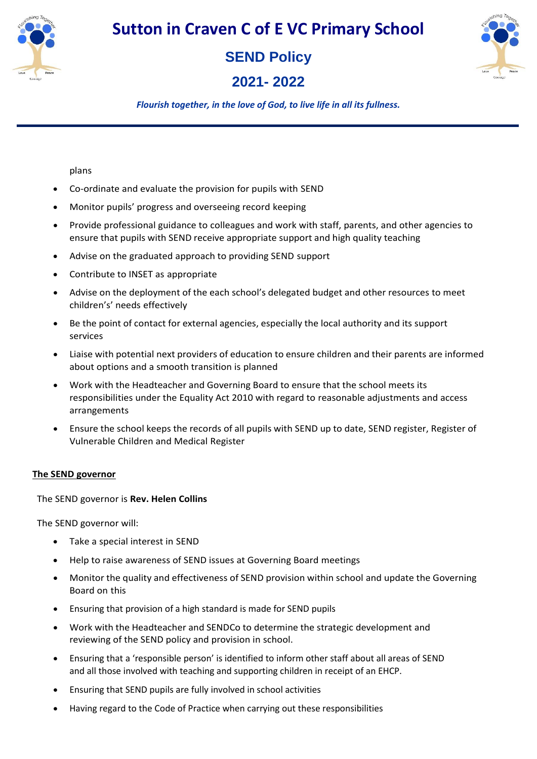



# **2021- 2022**



*Flourish together, in the love of God, to live life in all its fullness.*

plans

- Co-ordinate and evaluate the provision for pupils with SEND
- Monitor pupils' progress and overseeing record keeping
- Provide professional guidance to colleagues and work with staff, parents, and other agencies to ensure that pupils with SEND receive appropriate support and high quality teaching
- Advise on the graduated approach to providing SEND support
- Contribute to INSET as appropriate
- Advise on the deployment of the each school's delegated budget and other resources to meet children's' needs effectively
- Be the point of contact for external agencies, especially the local authority and its support services
- Liaise with potential next providers of education to ensure children and their parents are informed about options and a smooth transition is planned
- Work with the Headteacher and Governing Board to ensure that the school meets its responsibilities under the Equality Act 2010 with regard to reasonable adjustments and access arrangements
- Ensure the school keeps the records of all pupils with SEND up to date, SEND register, Register of Vulnerable Children and Medical Register

### **The SEND governor**

The SEND governor is **Rev. Helen Collins**

The SEND governor will:

- Take a special interest in SEND
- Help to raise awareness of SEND issues at Governing Board meetings
- Monitor the quality and effectiveness of SEND provision within school and update the Governing Board on this
- Ensuring that provision of a high standard is made for SEND pupils
- Work with the Headteacher and SENDCo to determine the strategic development and reviewing of the SEND policy and provision in school.
- Ensuring that a 'responsible person' is identified to inform other staff about all areas of SEND and all those involved with teaching and supporting children in receipt of an EHCP.
- Ensuring that SEND pupils are fully involved in school activities
- Having regard to the Code of Practice when carrying out these responsibilities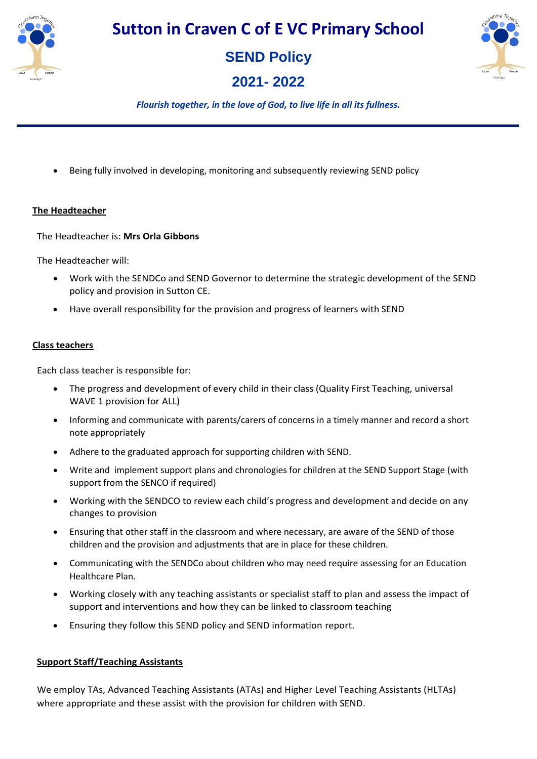



**2021- 2022** 



*Flourish together, in the love of God, to live life in all its fullness.*

Being fully involved in developing, monitoring and subsequently reviewing SEND policy

### **The Headteacher**

The Headteacher is: **Mrs Orla Gibbons**

The Headteacher will:

- Work with the SENDCo and SEND Governor to determine the strategic development of the SEND policy and provision in Sutton CE.
- Have overall responsibility for the provision and progress of learners with SEND

### **Class teachers**

Each class teacher is responsible for:

- The progress and development of every child in their class (Quality First Teaching, universal WAVE 1 provision for ALL)
- Informing and communicate with parents/carers of concerns in a timely manner and record a short note appropriately
- Adhere to the graduated approach for supporting children with SEND.
- Write and implement support plans and chronologies for children at the SEND Support Stage (with support from the SENCO if required)
- Working with the SENDCO to review each child's progress and development and decide on any changes to provision
- Ensuring that other staff in the classroom and where necessary, are aware of the SEND of those children and the provision and adjustments that are in place for these children.
- Communicating with the SENDCo about children who may need require assessing for an Education Healthcare Plan.
- Working closely with any teaching assistants or specialist staff to plan and assess the impact of support and interventions and how they can be linked to classroom teaching
- Ensuring they follow this SEND policy and SEND information report.

## **Support Staff/Teaching Assistants**

We employ TAs, Advanced Teaching Assistants (ATAs) and Higher Level Teaching Assistants (HLTAs) where appropriate and these assist with the provision for children with SEND.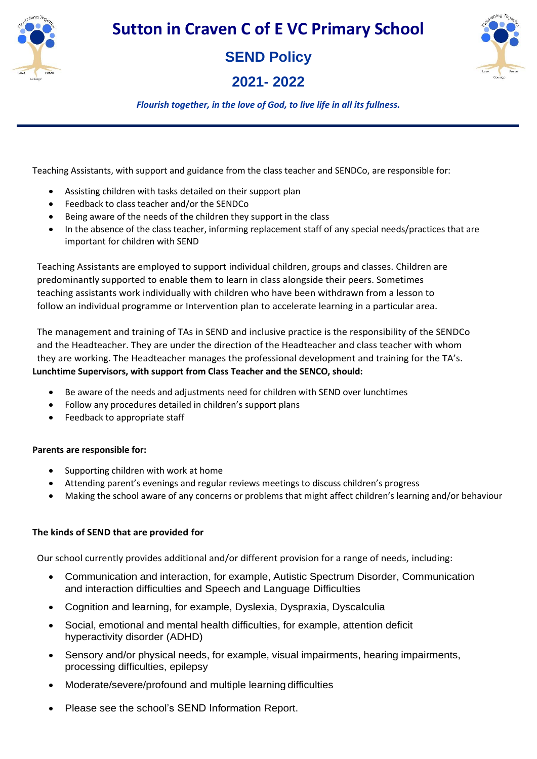



**2021- 2022** 



*Flourish together, in the love of God, to live life in all its fullness.*

Teaching Assistants, with support and guidance from the class teacher and SENDCo, are responsible for:

- Assisting children with tasks detailed on their support plan
- Feedback to class teacher and/or the SENDCo
- Being aware of the needs of the children they support in the class
- In the absence of the class teacher, informing replacement staff of any special needs/practices that are important for children with SEND

Teaching Assistants are employed to support individual children, groups and classes. Children are predominantly supported to enable them to learn in class alongside their peers. Sometimes teaching assistants work individually with children who have been withdrawn from a lesson to follow an individual programme or Intervention plan to accelerate learning in a particular area.

The management and training of TAs in SEND and inclusive practice is the responsibility of the SENDCo and the Headteacher. They are under the direction of the Headteacher and class teacher with whom they are working. The Headteacher manages the professional development and training for the TA's. **Lunchtime Supervisors, with support from Class Teacher and the SENCO, should:**

- Be aware of the needs and adjustments need for children with SEND over lunchtimes
- Follow any procedures detailed in children's support plans
- Feedback to appropriate staff

## **Parents are responsible for:**

- Supporting children with work at home
- Attending parent's evenings and regular reviews meetings to discuss children's progress
- Making the school aware of any concerns or problems that might affect children's learning and/or behaviour

## **The kinds of SEND that are provided for**

Our school currently provides additional and/or different provision for a range of needs, including:

- Communication and interaction, for example, Autistic Spectrum Disorder, Communication and interaction difficulties and Speech and Language Difficulties
- Cognition and learning, for example, Dyslexia, Dyspraxia, Dyscalculia
- Social, emotional and mental health difficulties, for example, attention deficit hyperactivity disorder (ADHD)
- Sensory and/or physical needs, for example, visual impairments, hearing impairments, processing difficulties, epilepsy
- Moderate/severe/profound and multiple learning difficulties
- Please see the school's SEND Information Report.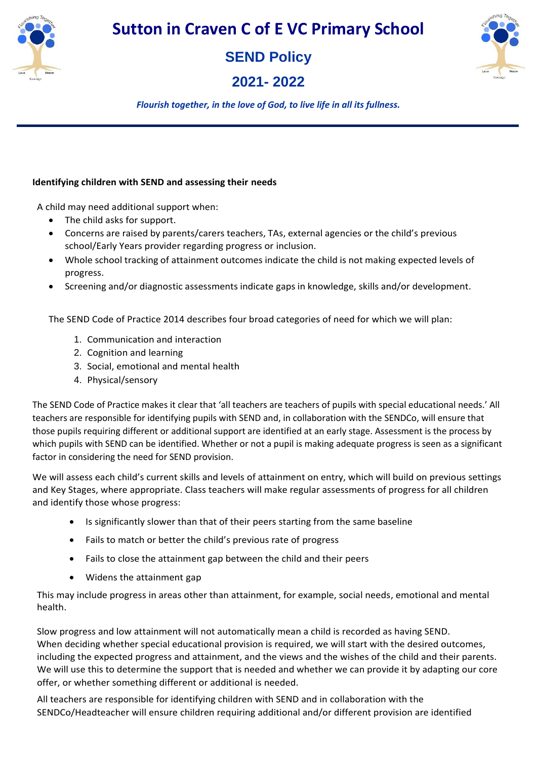

**SEND Policy** 

**2021- 2022** 



*Flourish together, in the love of God, to live life in all its fullness.*

## **Identifying children with SEND and assessing their needs**

A child may need additional support when:

- The child asks for support.
- Concerns are raised by parents/carers teachers, TAs, external agencies or the child's previous school/Early Years provider regarding progress or inclusion.
- Whole school tracking of attainment outcomes indicate the child is not making expected levels of progress.
- Screening and/or diagnostic assessments indicate gaps in knowledge, skills and/or development.

The SEND Code of Practice 2014 describes four broad categories of need for which we will plan:

- 1. Communication and interaction
- 2. Cognition and learning
- 3. Social, emotional and mental health
- 4. Physical/sensory

The SEND Code of Practice makes it clear that 'all teachers are teachers of pupils with special educational needs.' All teachers are responsible for identifying pupils with SEND and, in collaboration with the SENDCo, will ensure that those pupils requiring different or additional support are identified at an early stage. Assessment is the process by which pupils with SEND can be identified. Whether or not a pupil is making adequate progress is seen as a significant factor in considering the need for SEND provision.

We will assess each child's current skills and levels of attainment on entry, which will build on previous settings and Key Stages, where appropriate. Class teachers will make regular assessments of progress for all children and identify those whose progress:

- Is significantly slower than that of their peers starting from the same baseline
- Fails to match or better the child's previous rate of progress
- Fails to close the attainment gap between the child and their peers
- Widens the attainment gap

This may include progress in areas other than attainment, for example, social needs, emotional and mental health.

Slow progress and low attainment will not automatically mean a child is recorded as having SEND. When deciding whether special educational provision is required, we will start with the desired outcomes, including the expected progress and attainment, and the views and the wishes of the child and their parents. We will use this to determine the support that is needed and whether we can provide it by adapting our core offer, or whether something different or additional is needed.

All teachers are responsible for identifying children with SEND and in collaboration with the SENDCo/Headteacher will ensure children requiring additional and/or different provision are identified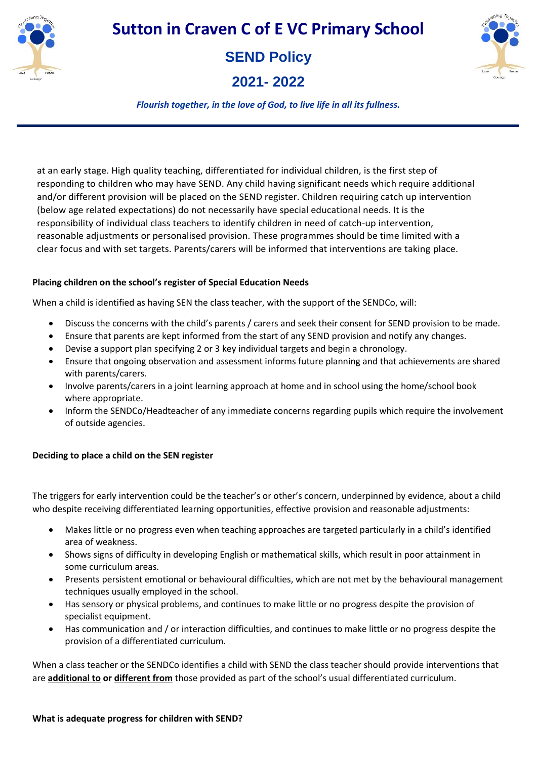

# **SEND Policy**

**2021- 2022** 



*Flourish together, in the love of God, to live life in all its fullness.*

at an early stage. High quality teaching, differentiated for individual children, is the first step of responding to children who may have SEND. Any child having significant needs which require additional and/or different provision will be placed on the SEND register. Children requiring catch up intervention (below age related expectations) do not necessarily have special educational needs. It is the responsibility of individual class teachers to identify children in need of catch-up intervention, reasonable adjustments or personalised provision. These programmes should be time limited with a clear focus and with set targets. Parents/carers will be informed that interventions are taking place.

## **Placing children on the school's register of Special Education Needs**

When a child is identified as having SEN the class teacher, with the support of the SENDCo, will:

- Discuss the concerns with the child's parents / carers and seek their consent for SEND provision to be made.
- Ensure that parents are kept informed from the start of any SEND provision and notify any changes.
- Devise a support plan specifying 2 or 3 key individual targets and begin a chronology.
- Ensure that ongoing observation and assessment informs future planning and that achievements are shared with parents/carers.
- Involve parents/carers in a joint learning approach at home and in school using the home/school book where appropriate.
- Inform the SENDCo/Headteacher of any immediate concerns regarding pupils which require the involvement of outside agencies.

# **Deciding to place a child on the SEN register**

The triggers for early intervention could be the teacher's or other's concern, underpinned by evidence, about a child who despite receiving differentiated learning opportunities, effective provision and reasonable adjustments:

- Makes little or no progress even when teaching approaches are targeted particularly in a child's identified area of weakness.
- Shows signs of difficulty in developing English or mathematical skills, which result in poor attainment in some curriculum areas.
- Presents persistent emotional or behavioural difficulties, which are not met by the behavioural management techniques usually employed in the school.
- Has sensory or physical problems, and continues to make little or no progress despite the provision of specialist equipment.
- Has communication and / or interaction difficulties, and continues to make little or no progress despite the provision of a differentiated curriculum.

When a class teacher or the SENDCo identifies a child with SEND the class teacher should provide interventions that are **additional to or different from** those provided as part of the school's usual differentiated curriculum.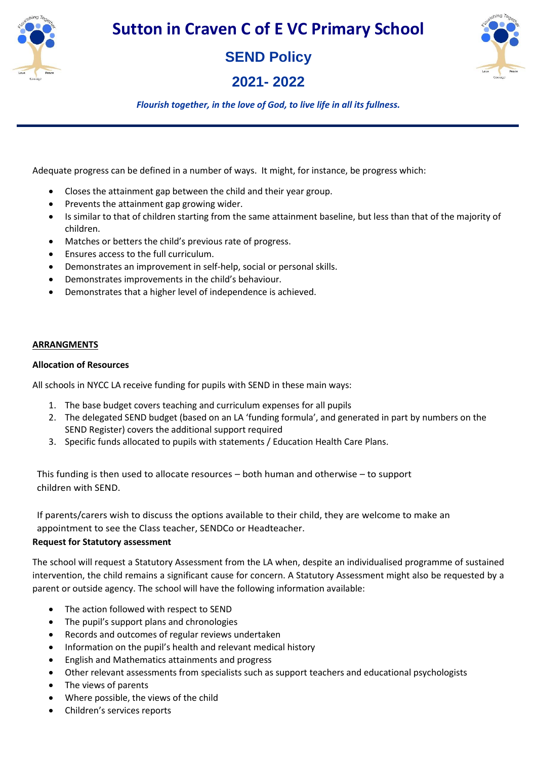

**SEND Policy** 

**2021- 2022** 



*Flourish together, in the love of God, to live life in all its fullness.*

Adequate progress can be defined in a number of ways. It might, for instance, be progress which:

- Closes the attainment gap between the child and their year group.
- Prevents the attainment gap growing wider.
- Is similar to that of children starting from the same attainment baseline, but less than that of the majority of children.
- Matches or betters the child's previous rate of progress.
- Ensures access to the full curriculum.
- Demonstrates an improvement in self-help, social or personal skills.
- Demonstrates improvements in the child's behaviour.
- Demonstrates that a higher level of independence is achieved.

#### **ARRANGMENTS**

#### **Allocation of Resources**

All schools in NYCC LA receive funding for pupils with SEND in these main ways:

- 1. The base budget covers teaching and curriculum expenses for all pupils
- 2. The delegated SEND budget (based on an LA 'funding formula', and generated in part by numbers on the SEND Register) covers the additional support required
- 3. Specific funds allocated to pupils with statements / Education Health Care Plans.

This funding is then used to allocate resources – both human and otherwise – to support children with SEND.

If parents/carers wish to discuss the options available to their child, they are welcome to make an appointment to see the Class teacher, SENDCo or Headteacher.

### **Request for Statutory assessment**

The school will request a Statutory Assessment from the LA when, despite an individualised programme of sustained intervention, the child remains a significant cause for concern. A Statutory Assessment might also be requested by a parent or outside agency. The school will have the following information available:

- The action followed with respect to SEND
- The pupil's support plans and chronologies
- Records and outcomes of regular reviews undertaken
- Information on the pupil's health and relevant medical history
- English and Mathematics attainments and progress
- Other relevant assessments from specialists such as support teachers and educational psychologists
- The views of parents
- Where possible, the views of the child
- Children's services reports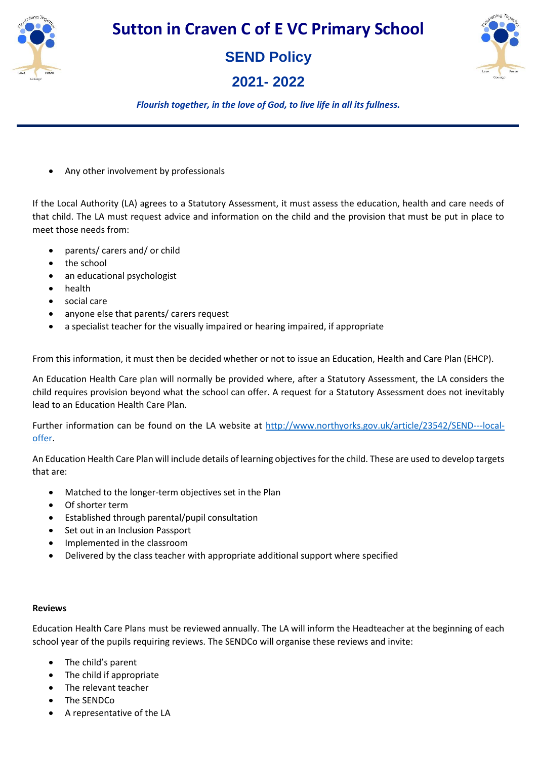

# **SEND Policy**

**2021- 2022** 



# *Flourish together, in the love of God, to live life in all its fullness.*

Any other involvement by professionals

If the Local Authority (LA) agrees to a Statutory Assessment, it must assess the education, health and care needs of that child. The LA must request advice and information on the child and the provision that must be put in place to meet those needs from:

- parents/ carers and/ or child
- the school
- an educational psychologist
- health
- social care
- anyone else that parents/ carers request
- a specialist teacher for the visually impaired or hearing impaired, if appropriate

From this information, it must then be decided whether or not to issue an Education, Health and Care Plan (EHCP).

An Education Health Care plan will normally be provided where, after a Statutory Assessment, the LA considers the child requires provision beyond what the school can offer. A request for a Statutory Assessment does not inevitably lead to an Education Health Care Plan.

Further information can be found on the LA website at [http://www.northyorks.gov.uk/article/23542/SEND---local](http://www.northyorks.gov.uk/article/23542/SEND---local-offer)[offer.](http://www.northyorks.gov.uk/article/23542/SEND---local-offer)

An Education Health Care Plan will include details of learning objectives for the child. These are used to develop targets that are:

- Matched to the longer-term objectives set in the Plan
- Of shorter term
- Established through parental/pupil consultation
- Set out in an Inclusion Passport
- Implemented in the classroom
- Delivered by the class teacher with appropriate additional support where specified

### **Reviews**

Education Health Care Plans must be reviewed annually. The LA will inform the Headteacher at the beginning of each school year of the pupils requiring reviews. The SENDCo will organise these reviews and invite:

- The child's parent
- The child if appropriate
- The relevant teacher
- The SENDCo
- A representative of the LA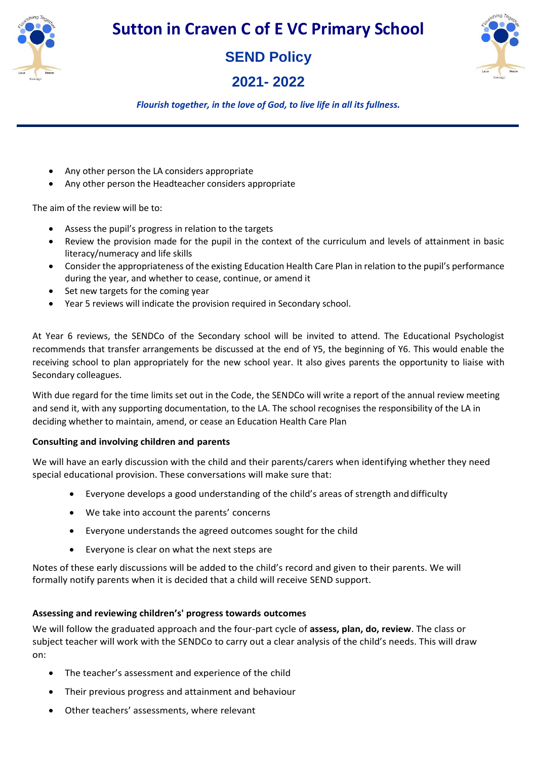

# **SEND Policy**

**2021- 2022** 



*Flourish together, in the love of God, to live life in all its fullness.*

- Any other person the LA considers appropriate
- Any other person the Headteacher considers appropriate

The aim of the review will be to:

- Assess the pupil's progress in relation to the targets
- Review the provision made for the pupil in the context of the curriculum and levels of attainment in basic literacy/numeracy and life skills
- Consider the appropriateness of the existing Education Health Care Plan in relation to the pupil's performance during the year, and whether to cease, continue, or amend it
- Set new targets for the coming year
- Year 5 reviews will indicate the provision required in Secondary school.

At Year 6 reviews, the SENDCo of the Secondary school will be invited to attend. The Educational Psychologist recommends that transfer arrangements be discussed at the end of Y5, the beginning of Y6. This would enable the receiving school to plan appropriately for the new school year. It also gives parents the opportunity to liaise with Secondary colleagues.

With due regard for the time limits set out in the Code, the SENDCo will write a report of the annual review meeting and send it, with any supporting documentation, to the LA. The school recognises the responsibility of the LA in deciding whether to maintain, amend, or cease an Education Health Care Plan

## **Consulting and involving children and parents**

We will have an early discussion with the child and their parents/carers when identifying whether they need special educational provision. These conversations will make sure that:

- Everyone develops a good understanding of the child's areas of strength anddifficulty
- We take into account the parents' concerns
- Everyone understands the agreed outcomes sought for the child
- Everyone is clear on what the next steps are

Notes of these early discussions will be added to the child's record and given to their parents. We will formally notify parents when it is decided that a child will receive SEND support.

## **Assessing and reviewing children's' progress towards outcomes**

We will follow the graduated approach and the four-part cycle of **assess, plan, do, review**. The class or subject teacher will work with the SENDCo to carry out a clear analysis of the child's needs. This will draw on:

- The teacher's assessment and experience of the child
- Their previous progress and attainment and behaviour
- Other teachers' assessments, where relevant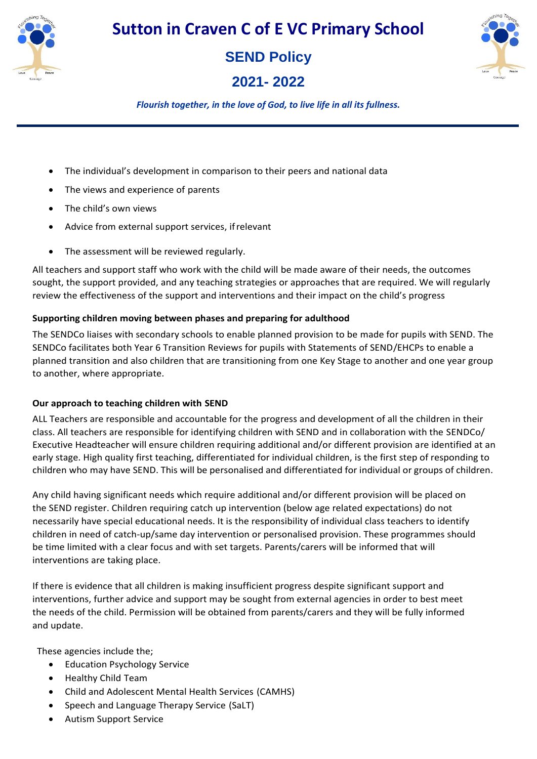

**SEND Policy** 

**2021- 2022** 



*Flourish together, in the love of God, to live life in all its fullness.*

- The individual's development in comparison to their peers and national data
- The views and experience of parents
- The child's own views
- Advice from external support services, ifrelevant
- The assessment will be reviewed regularly.

All teachers and support staff who work with the child will be made aware of their needs, the outcomes sought, the support provided, and any teaching strategies or approaches that are required. We will regularly review the effectiveness of the support and interventions and their impact on the child's progress

## **Supporting children moving between phases and preparing for adulthood**

The SENDCo liaises with secondary schools to enable planned provision to be made for pupils with SEND. The SENDCo facilitates both Year 6 Transition Reviews for pupils with Statements of SEND/EHCPs to enable a planned transition and also children that are transitioning from one Key Stage to another and one year group to another, where appropriate.

## **Our approach to teaching children with SEND**

ALL Teachers are responsible and accountable for the progress and development of all the children in their class. All teachers are responsible for identifying children with SEND and in collaboration with the SENDCo/ Executive Headteacher will ensure children requiring additional and/or different provision are identified at an early stage. High quality first teaching, differentiated for individual children, is the first step of responding to children who may have SEND. This will be personalised and differentiated for individual or groups of children.

Any child having significant needs which require additional and/or different provision will be placed on the SEND register. Children requiring catch up intervention (below age related expectations) do not necessarily have special educational needs. It is the responsibility of individual class teachers to identify children in need of catch-up/same day intervention or personalised provision. These programmes should be time limited with a clear focus and with set targets. Parents/carers will be informed that will interventions are taking place.

If there is evidence that all children is making insufficient progress despite significant support and interventions, further advice and support may be sought from external agencies in order to best meet the needs of the child. Permission will be obtained from parents/carers and they will be fully informed and update.

These agencies include the;

- Education Psychology Service
- Healthy Child Team
- Child and Adolescent Mental Health Services (CAMHS)
- Speech and Language Therapy Service (SaLT)
- Autism Support Service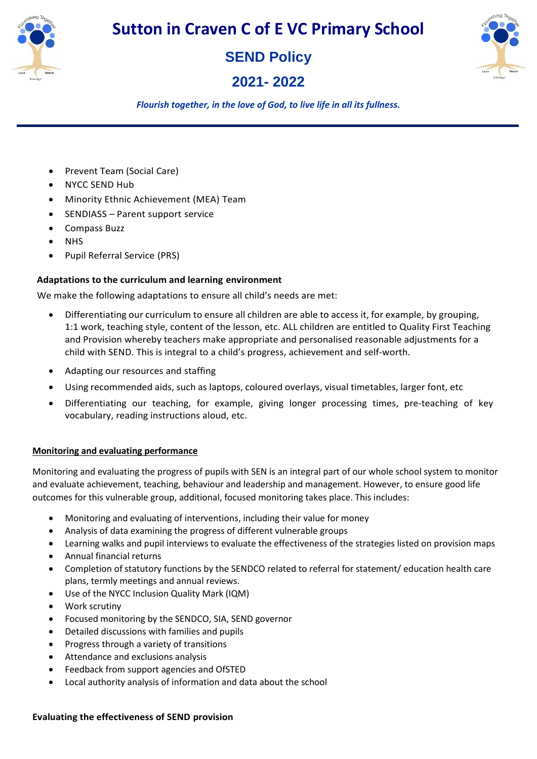

# **SEND Policy**

# **2021- 2022**



*Flourish together, in the love of God, to live life in all its fullness.*

- Prevent Team (Social Care)
- NYCC SEND Hub
- Minority Ethnic Achievement (MEA) Team
- SENDIASS Parent support service
- Compass Buzz
- NHS
- Pupil Referral Service (PRS)

## **Adaptations to the curriculum and learning environment**

We make the following adaptations to ensure all child's needs are met:

- Differentiating our curriculum to ensure all children are able to access it, for example, by grouping, 1:1 work, teaching style, content of the lesson, etc. ALL children are entitled to Quality First Teaching and Provision whereby teachers make appropriate and personalised reasonable adjustments for a child with SEND. This is integral to a child's progress, achievement and self-worth.
- Adapting our resources and staffing
- Using recommended aids, such as laptops, coloured overlays, visual timetables, larger font, etc
- Differentiating our teaching, for example, giving longer processing times, pre-teaching of key vocabulary, reading instructions aloud, etc.

## **Monitoring and evaluating performance**

Monitoring and evaluating the progress of pupils with SEN is an integral part of our whole school system to monitor and evaluate achievement, teaching, behaviour and leadership and management. However, to ensure good life outcomes for this vulnerable group, additional, focused monitoring takes place. This includes:

- Monitoring and evaluating of interventions, including their value for money
- Analysis of data examining the progress of different vulnerable groups
- Learning walks and pupil interviews to evaluate the effectiveness of the strategies listed on provision maps
- Annual financial returns
- Completion of statutory functions by the SENDCO related to referral for statement/ education health care plans, termly meetings and annual reviews.
- Use of the NYCC Inclusion Quality Mark (IQM)
- Work scrutiny
- Focused monitoring by the SENDCO, SIA, SEND governor
- Detailed discussions with families and pupils
- Progress through a variety of transitions
- Attendance and exclusions analysis
- Feedback from support agencies and OfSTED
- Local authority analysis of information and data about the school

### **Evaluating the effectiveness of SEND provision**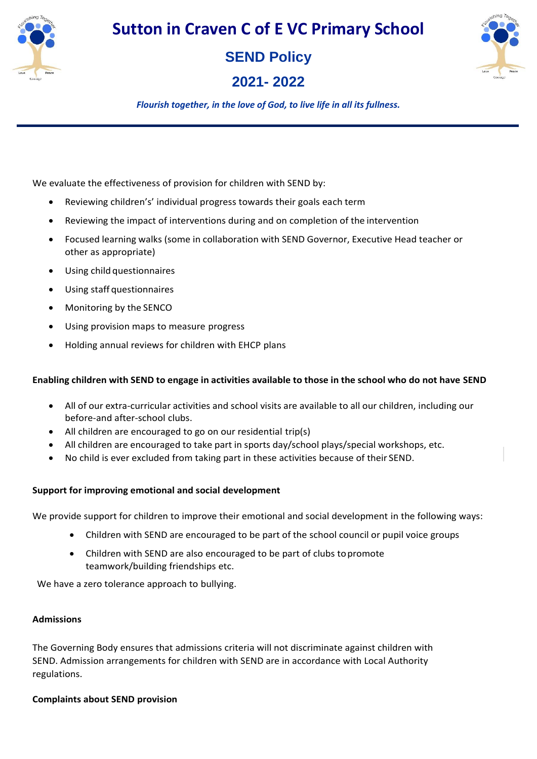

**SEND Policy** 

**2021- 2022** 



*Flourish together, in the love of God, to live life in all its fullness.*

We evaluate the effectiveness of provision for children with SEND by:

- Reviewing children's' individual progress towards their goals each term
- Reviewing the impact of interventions during and on completion of the intervention
- Focused learning walks (some in collaboration with SEND Governor, Executive Head teacher or other as appropriate)
- Using child questionnaires
- Using staff questionnaires
- Monitoring by the SENCO
- Using provision maps to measure progress
- Holding annual reviews for children with EHCP plans

## **Enabling children with SEND to engage in activities available to those in the school who do not have SEND**

- All of our extra-curricular activities and school visits are available to all our children, including our before-and after-school clubs.
- All children are encouraged to go on our residential trip(s)
- All children are encouraged to take part in sports day/school plays/special workshops, etc.
- No child is ever excluded from taking part in these activities because of their SEND.

## **Support for improving emotional and social development**

We provide support for children to improve their emotional and social development in the following ways:

- Children with SEND are encouraged to be part of the school council or pupil voice groups
- Children with SEND are also encouraged to be part of clubs topromote teamwork/building friendships etc.

We have a zero tolerance approach to bullying.

## **Admissions**

The Governing Body ensures that admissions criteria will not discriminate against children with SEND. Admission arrangements for children with SEND are in accordance with Local Authority regulations.

## **Complaints about SEND provision**